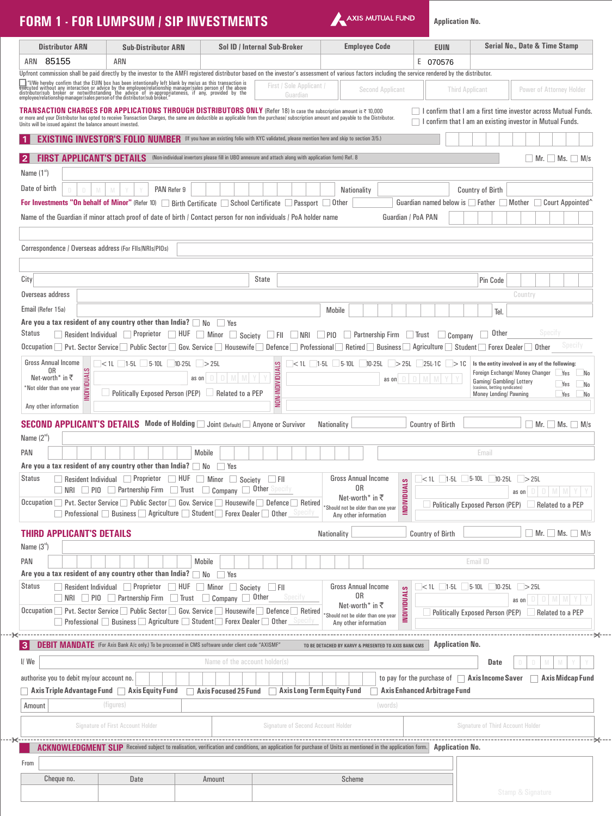| <b>FORM 1 - FOR LUMPSUM / SIP INVESTMENTS</b>                                                                                                                                                                                          |                                          |                                                                                                                                                                                                                                                                                                              |                                           | AXIS MUTUAL FUND                                                                       |                                     | <b>Application No.</b>         |                                                                                                                                    |         |
|----------------------------------------------------------------------------------------------------------------------------------------------------------------------------------------------------------------------------------------|------------------------------------------|--------------------------------------------------------------------------------------------------------------------------------------------------------------------------------------------------------------------------------------------------------------------------------------------------------------|-------------------------------------------|----------------------------------------------------------------------------------------|-------------------------------------|--------------------------------|------------------------------------------------------------------------------------------------------------------------------------|---------|
| <b>Distributor ARN</b>                                                                                                                                                                                                                 | <b>Sub-Distributor ARN</b>               | Sol ID / Internal Sub-Broker                                                                                                                                                                                                                                                                                 |                                           | <b>Employee Code</b>                                                                   | <b>EUIN</b>                         |                                | Serial No., Date & Time Stamp                                                                                                      |         |
| 85155<br>ARN                                                                                                                                                                                                                           | ARN                                      |                                                                                                                                                                                                                                                                                                              |                                           |                                                                                        | E 070576                            |                                |                                                                                                                                    |         |
|                                                                                                                                                                                                                                        |                                          | Upfront commission shall be paid directly by the investor to the AMFI registered distributor based on the investor's assessment of various factors including the service rendered by the distributor.                                                                                                        |                                           |                                                                                        |                                     |                                |                                                                                                                                    |         |
| $\blacksquare$ " /We hereby confirm that the EUIN box has been intentionally left blank by me/us as this transaction is executed without any interaction or advice by the employee/relationship manager/sales person of the above dist |                                          |                                                                                                                                                                                                                                                                                                              | First / Sole Applicant /<br>Guardian      | <b>Second Applicant</b>                                                                |                                     | <b>Third Applicant</b>         | Power of Attorney Holder                                                                                                           |         |
| Units will be issued against the balance amount invested.                                                                                                                                                                              |                                          | TRANSACTION CHARGES FOR APPLICATIONS THROUGH DISTRIBUTORS ONLY (Refer 18) In case the subscription amount is ₹ 10,000<br>or more and your Distributor has opted to receive Transaction Charges, the same are deductible as applicable from the purchase/ subscription amount and payable to the Distributor. |                                           |                                                                                        |                                     |                                | I confirm that I am a first time investor across Mutual Funds.<br>$\Box$ I confirm that I am an existing investor in Mutual Funds. |         |
|                                                                                                                                                                                                                                        |                                          | <b>EXISTING INVESTOR'S FOLIO NUMBER</b> (If you have an existing folio with KYC validated, please mention here and skip to section 3/5.)                                                                                                                                                                     |                                           |                                                                                        |                                     |                                |                                                                                                                                    |         |
| $\mathbf{2}$                                                                                                                                                                                                                           |                                          | <b>FIRST APPLICANT'S DETAILS</b> (Non-individual invertors please fill in UBO annexure and attach along with application form) Ref. 8                                                                                                                                                                        |                                           |                                                                                        |                                     |                                | $\Box$ Mr. $\Box$ Ms. $\Box$ M/s                                                                                                   |         |
| Name $(1st)$                                                                                                                                                                                                                           |                                          |                                                                                                                                                                                                                                                                                                              |                                           |                                                                                        |                                     |                                |                                                                                                                                    |         |
| Date of birth                                                                                                                                                                                                                          | PAN Refer 9                              |                                                                                                                                                                                                                                                                                                              |                                           | Nationality                                                                            |                                     | <b>Country of Birth</b>        |                                                                                                                                    |         |
|                                                                                                                                                                                                                                        |                                          | For Investments "On behalf of Minor" (Refer 10) $\Box$ Birth Certificate $\Box$ School Certificate $\Box$ Passport $\Box$ Other                                                                                                                                                                              |                                           |                                                                                        |                                     |                                | Guardian named below is Father Mother Court Appointed                                                                              |         |
|                                                                                                                                                                                                                                        |                                          | Name of the Guardian if minor attach proof of date of birth / Contact person for non individuals / PoA holder name                                                                                                                                                                                           |                                           |                                                                                        | Guardian / PoA PAN                  |                                |                                                                                                                                    |         |
|                                                                                                                                                                                                                                        |                                          |                                                                                                                                                                                                                                                                                                              |                                           |                                                                                        |                                     |                                |                                                                                                                                    |         |
| Correspondence / Overseas address (For FIIs/NRIs/PIOs)                                                                                                                                                                                 |                                          |                                                                                                                                                                                                                                                                                                              |                                           |                                                                                        |                                     |                                |                                                                                                                                    |         |
|                                                                                                                                                                                                                                        |                                          |                                                                                                                                                                                                                                                                                                              |                                           |                                                                                        |                                     |                                |                                                                                                                                    |         |
| City                                                                                                                                                                                                                                   |                                          | <b>State</b>                                                                                                                                                                                                                                                                                                 |                                           |                                                                                        |                                     | Pin Code                       |                                                                                                                                    |         |
| Overseas address                                                                                                                                                                                                                       |                                          |                                                                                                                                                                                                                                                                                                              |                                           |                                                                                        |                                     |                                | Country                                                                                                                            |         |
| Email (Refer 15a)                                                                                                                                                                                                                      |                                          |                                                                                                                                                                                                                                                                                                              |                                           | Mobile                                                                                 |                                     |                                |                                                                                                                                    |         |
| Are you a tax resident of any country other than India? $\Box$ No                                                                                                                                                                      |                                          | l Yes                                                                                                                                                                                                                                                                                                        |                                           |                                                                                        |                                     |                                | Tel.                                                                                                                               |         |
| <b>Status</b>                                                                                                                                                                                                                          |                                          | □ Resident Individual □ Proprietor □ HUF □ Minor □ Society □ FII □ NRI                                                                                                                                                                                                                                       | $\Box$ PIO                                | Partnership Firm                                                                       | $\Box$ Trust                        | $\Box$ Company                 | Specify<br>Other                                                                                                                   |         |
|                                                                                                                                                                                                                                        |                                          | Occupation Pvt. Sector Service Public Sector Gov. Service Housewife Defence Professional Retired Business Agriculture Student Forex Dealer Other                                                                                                                                                             |                                           |                                                                                        |                                     |                                |                                                                                                                                    | Specify |
| <b>Gross Annual Income</b>                                                                                                                                                                                                             | $<$ 1L 1.5L 5.10L 10.25L > 25L           |                                                                                                                                                                                                                                                                                                              |                                           | $<$ 1L 1.5L 5.10L 10.25L > 25L 25L1C > 1C                                              |                                     |                                | Is the entity involved in any of the following:                                                                                    |         |
| 0R<br>Net-worth* in ₹                                                                                                                                                                                                                  |                                          | as on                                                                                                                                                                                                                                                                                                        | NON-INDIVIDUALS                           | as on                                                                                  |                                     |                                | Foreign Exchange/ Money Changer<br>Yes                                                                                             | No.     |
| <b>NDIVIDUALS</b><br>*Not older than one year                                                                                                                                                                                          |                                          |                                                                                                                                                                                                                                                                                                              |                                           |                                                                                        |                                     |                                | Gaming/ Gambling/ Lottery<br>Yes<br>(casinos, betting syndicates)                                                                  | No      |
|                                                                                                                                                                                                                                        |                                          | Politically Exposed Person (PEP) Related to a PEP                                                                                                                                                                                                                                                            |                                           |                                                                                        |                                     |                                | <b>Money Lending/ Pawning</b><br>Yes                                                                                               | No      |
| Any other information                                                                                                                                                                                                                  |                                          |                                                                                                                                                                                                                                                                                                              |                                           |                                                                                        |                                     |                                |                                                                                                                                    |         |
|                                                                                                                                                                                                                                        |                                          | <b>SECOND APPLICANT'S DETAILS</b> Mode of Holding in Joint (Default) Anyone or Survivor                                                                                                                                                                                                                      | Nationality                               |                                                                                        | <b>Country of Birth</b>             |                                | $\Box$ Mr. $\Box$ Ms. $\Box$ M/s                                                                                                   |         |
| Name $(2nd)$                                                                                                                                                                                                                           |                                          |                                                                                                                                                                                                                                                                                                              |                                           |                                                                                        |                                     |                                |                                                                                                                                    |         |
| <b>PAN</b>                                                                                                                                                                                                                             |                                          | Mobile                                                                                                                                                                                                                                                                                                       |                                           |                                                                                        |                                     | Email                          |                                                                                                                                    |         |
| Are you a tax resident of any country other than India? $\Box$ No $\Box$ Yes                                                                                                                                                           |                                          |                                                                                                                                                                                                                                                                                                              |                                           |                                                                                        |                                     |                                |                                                                                                                                    |         |
|                                                                                                                                                                                                                                        |                                          | Status Resident Individual Proprietor HUF Minor Society FII<br>INRI PIO Partnership Firm Trust Company Dother Specify                                                                                                                                                                                        |                                           | Gross Annual Income<br>0R                                                              |                                     | $<$ 1L 1.5L 5.10L 10.25L > 25L |                                                                                                                                    |         |
|                                                                                                                                                                                                                                        |                                          | Occupation Nevt. Sector Service Neublic Sector Gov. Service Neusewife Defence Retired                                                                                                                                                                                                                        |                                           | <b>NDIVIDUALS</b><br>Net-worth <sup>*</sup> in ₹                                       |                                     |                                | as on $D$ $D$ $M$ $M$ $Y$ $Y$<br>Politically Exposed Person (PEP) Related to a PEP                                                 |         |
|                                                                                                                                                                                                                                        |                                          | <b>Professional</b> Business <b>Agriculture</b> Student Forex Dealer 10ther Specify                                                                                                                                                                                                                          |                                           | *Should not be older than one year<br>Any other information                            |                                     |                                |                                                                                                                                    |         |
|                                                                                                                                                                                                                                        |                                          |                                                                                                                                                                                                                                                                                                              |                                           |                                                                                        |                                     |                                | $\Box$ Mr. $\Box$ Ms. $\Box$ M/s                                                                                                   |         |
| <b>THIRD APPLICANT'S DETAILS</b><br>Name $(3rd)$                                                                                                                                                                                       |                                          |                                                                                                                                                                                                                                                                                                              | Nationality                               |                                                                                        | Country of Birth                    |                                |                                                                                                                                    |         |
|                                                                                                                                                                                                                                        |                                          |                                                                                                                                                                                                                                                                                                              |                                           |                                                                                        |                                     |                                |                                                                                                                                    |         |
| PAN<br>Are you a tax resident of any country other than India? $\Box$ No $\Box$ Yes                                                                                                                                                    |                                          | Mobile                                                                                                                                                                                                                                                                                                       |                                           |                                                                                        |                                     | Email ID                       |                                                                                                                                    |         |
| Status                                                                                                                                                                                                                                 |                                          | Resident Individual Proprietor HUF Minor Society FII                                                                                                                                                                                                                                                         |                                           | Gross Annual Income                                                                    |                                     | $<$ 1L 1.5L 5.10L 10.25L > 25L |                                                                                                                                    |         |
|                                                                                                                                                                                                                                        |                                          | NRI PIO Partnership Firm Trust Company Other                                                                                                                                                                                                                                                                 | Specity                                   | 0R                                                                                     |                                     |                                | as on $D$ $D$ $M$ $M$ $Y$                                                                                                          |         |
|                                                                                                                                                                                                                                        |                                          | Occupation   Pvt. Sector Service   Public Sector   Gov. Service   Housewife   Defence   Retired                                                                                                                                                                                                              |                                           | <b>NDIVIDUALS</b><br>Net-worth <sup>*</sup> in ₹<br>*Should not be older than one year |                                     |                                | Politically Exposed Person (PEP) Related to a PEP                                                                                  |         |
|                                                                                                                                                                                                                                        |                                          | $\Box$ Professional $\Box$ Business $\Box$ Agriculture $\Box$ Student $\Box$ Forex Dealer $\Box$ Other $\Box$ Specify                                                                                                                                                                                        |                                           | Any other information                                                                  |                                     |                                |                                                                                                                                    |         |
|                                                                                                                                                                                                                                        |                                          | DEBIT MANDATE (For Axis Bank A/c only.) To be processed in CMS software under client code "AXISMF"                                                                                                                                                                                                           |                                           |                                                                                        |                                     | <b>Application No.</b>         |                                                                                                                                    |         |
| <b>31</b>                                                                                                                                                                                                                              |                                          |                                                                                                                                                                                                                                                                                                              |                                           | TO BE DETACHED BY KARVY & PRESENTED TO AXIS BANK CMS                                   |                                     |                                |                                                                                                                                    |         |
|                                                                                                                                                                                                                                        |                                          | Name of the account holder(s)                                                                                                                                                                                                                                                                                |                                           |                                                                                        |                                     | <b>Date</b>                    |                                                                                                                                    |         |
|                                                                                                                                                                                                                                        |                                          |                                                                                                                                                                                                                                                                                                              |                                           |                                                                                        |                                     |                                | to pay for the purchase of $\Box$ Axis Income Saver $\Box$ Axis Midcap Fund                                                        |         |
|                                                                                                                                                                                                                                        |                                          |                                                                                                                                                                                                                                                                                                              |                                           |                                                                                        | <b>Axis Enhanced Arbitrage Fund</b> |                                |                                                                                                                                    |         |
|                                                                                                                                                                                                                                        |                                          | Axis Triple Advantage Fund Axis Equity Fund Axis Focused 25 Fund Axis Long Term Equity Fund                                                                                                                                                                                                                  |                                           |                                                                                        |                                     |                                |                                                                                                                                    |         |
| Amount                                                                                                                                                                                                                                 | (figures)                                |                                                                                                                                                                                                                                                                                                              |                                           | (words)                                                                                |                                     |                                |                                                                                                                                    |         |
|                                                                                                                                                                                                                                        | <b>Signature of First Account Holder</b> |                                                                                                                                                                                                                                                                                                              | <b>Signature of Second Account Holder</b> |                                                                                        |                                     |                                | <b>Signature of Third Account Holder</b>                                                                                           |         |
|                                                                                                                                                                                                                                        |                                          |                                                                                                                                                                                                                                                                                                              |                                           |                                                                                        |                                     |                                |                                                                                                                                    |         |
|                                                                                                                                                                                                                                        |                                          | ACKNOWLEDGMENT SLIP Received subject to realisation, verification and conditions, an application for purchase of Units as mentioned in the application form. Application No.                                                                                                                                 |                                           |                                                                                        |                                     |                                |                                                                                                                                    |         |
|                                                                                                                                                                                                                                        |                                          |                                                                                                                                                                                                                                                                                                              |                                           |                                                                                        |                                     |                                |                                                                                                                                    |         |
| I/We<br>authorise you to debit my/our account no.<br>From<br>Cheque no.                                                                                                                                                                | Date                                     | Amount                                                                                                                                                                                                                                                                                                       |                                           | Scheme                                                                                 |                                     |                                |                                                                                                                                    |         |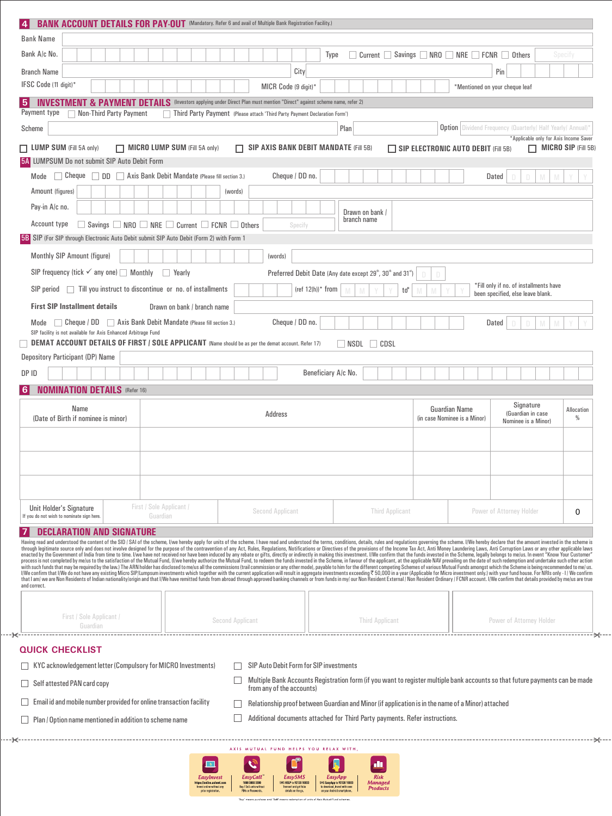| <b>Bank Name</b>                                                                                                                                                                                                                                                                                                                                                                                                                                                                                                                                                                                                                                                                                   |                         |          |                               |                                                                                           |                                                                                                                                                                                  |                 |                      |      |                                |                                                                         |                              |                      |                                            |                                                                                                                              |                                        |                 |
|----------------------------------------------------------------------------------------------------------------------------------------------------------------------------------------------------------------------------------------------------------------------------------------------------------------------------------------------------------------------------------------------------------------------------------------------------------------------------------------------------------------------------------------------------------------------------------------------------------------------------------------------------------------------------------------------------|-------------------------|----------|-------------------------------|-------------------------------------------------------------------------------------------|----------------------------------------------------------------------------------------------------------------------------------------------------------------------------------|-----------------|----------------------|------|--------------------------------|-------------------------------------------------------------------------|------------------------------|----------------------|--------------------------------------------|------------------------------------------------------------------------------------------------------------------------------|----------------------------------------|-----------------|
| Bank A/c No.                                                                                                                                                                                                                                                                                                                                                                                                                                                                                                                                                                                                                                                                                       |                         |          |                               |                                                                                           |                                                                                                                                                                                  |                 | Type                 |      |                                |                                                                         |                              |                      |                                            | $Current$ Savings $NRO$ NRE FCNR $O$ Others                                                                                  |                                        | Specify         |
| <b>Branch Name</b>                                                                                                                                                                                                                                                                                                                                                                                                                                                                                                                                                                                                                                                                                 |                         |          |                               |                                                                                           |                                                                                                                                                                                  | City            |                      |      |                                |                                                                         |                              |                      |                                            | Pin                                                                                                                          |                                        |                 |
| IFSC Code (11 digit)*                                                                                                                                                                                                                                                                                                                                                                                                                                                                                                                                                                                                                                                                              |                         |          |                               |                                                                                           | MICR Code (9 digit)*                                                                                                                                                             |                 |                      |      |                                |                                                                         |                              |                      |                                            | *Mentioned on your cheque leaf                                                                                               |                                        |                 |
| <b>INVESTMENT &amp; PAYMENT DETAILS</b><br>Payment type                                                                                                                                                                                                                                                                                                                                                                                                                                                                                                                                                                                                                                            |                         |          |                               | (Investors applying under Direct Plan must mention "Direct" against scheme name, refer 2) |                                                                                                                                                                                  |                 |                      |      |                                |                                                                         |                              |                      |                                            |                                                                                                                              |                                        |                 |
| Scheme                                                                                                                                                                                                                                                                                                                                                                                                                                                                                                                                                                                                                                                                                             | Non-Third Party Payment |          |                               | Third Party Payment (Please attach 'Third Party Payment Declaration Form')                |                                                                                                                                                                                  |                 |                      | Plan |                                |                                                                         |                              |                      |                                            | <b>Option</b> Dividend Frequency (Quarterly/ Half Yearly/ Annual)*                                                           |                                        |                 |
|                                                                                                                                                                                                                                                                                                                                                                                                                                                                                                                                                                                                                                                                                                    |                         |          |                               |                                                                                           |                                                                                                                                                                                  |                 |                      |      |                                |                                                                         |                              |                      |                                            |                                                                                                                              | *Applicable only for Axis Income Saver |                 |
| $\Box$ LUMP SUM (Fill 5A only)<br>5A LUMPSUM Do not submit SIP Auto Debit Form                                                                                                                                                                                                                                                                                                                                                                                                                                                                                                                                                                                                                     |                         |          | MICRO LUMP SUM (Fill 5A only) |                                                                                           | $\Box$ SIP AXIS BANK DEBIT MANDATE (Fill 5B)                                                                                                                                     |                 |                      |      |                                |                                                                         |                              |                      | $\Box$ SIP ELECTRONIC AUTO DEBIT (Fill 5B) |                                                                                                                              | $\Box$ MICRO SIP (Fill 5B)             |                 |
| Mode Cheque DD Axis Bank Debit Mandate (Please fill section 3.)                                                                                                                                                                                                                                                                                                                                                                                                                                                                                                                                                                                                                                    |                         |          |                               |                                                                                           |                                                                                                                                                                                  | Cheque / DD no. |                      |      |                                |                                                                         |                              |                      |                                            | Dated                                                                                                                        |                                        |                 |
| Amount (figures)                                                                                                                                                                                                                                                                                                                                                                                                                                                                                                                                                                                                                                                                                   |                         |          |                               | (words)                                                                                   |                                                                                                                                                                                  |                 |                      |      |                                |                                                                         |                              |                      |                                            |                                                                                                                              |                                        |                 |
| Pay-in A/c no.                                                                                                                                                                                                                                                                                                                                                                                                                                                                                                                                                                                                                                                                                     |                         |          |                               |                                                                                           |                                                                                                                                                                                  |                 |                      |      |                                |                                                                         |                              |                      |                                            |                                                                                                                              |                                        |                 |
| Account type                                                                                                                                                                                                                                                                                                                                                                                                                                                                                                                                                                                                                                                                                       |                         |          |                               | $\Box$ Savings $\Box$ NRO $\Box$ NRE $\Box$ Current $\Box$ FCNR $\Box$ Others             |                                                                                                                                                                                  | Specify         |                      |      | Drawn on bank /<br>branch name |                                                                         |                              |                      |                                            |                                                                                                                              |                                        |                 |
| <b>5B</b> SIP (For SIP through Electronic Auto Debit submit SIP Auto Debit (Form 2) with Form 1                                                                                                                                                                                                                                                                                                                                                                                                                                                                                                                                                                                                    |                         |          |                               |                                                                                           |                                                                                                                                                                                  |                 |                      |      |                                |                                                                         |                              |                      |                                            |                                                                                                                              |                                        |                 |
| Monthly SIP Amount (figure)                                                                                                                                                                                                                                                                                                                                                                                                                                                                                                                                                                                                                                                                        |                         |          |                               |                                                                                           | (words)                                                                                                                                                                          |                 |                      |      |                                |                                                                         |                              |                      |                                            |                                                                                                                              |                                        |                 |
| SIP frequency (tick $\checkmark$ any one) Monthly $\Box$ Yearly                                                                                                                                                                                                                                                                                                                                                                                                                                                                                                                                                                                                                                    |                         |          |                               |                                                                                           |                                                                                                                                                                                  |                 |                      |      |                                | Preferred Debit Date (Any date except 29th, 30th and 31 <sup>st</sup> ) | D                            |                      |                                            |                                                                                                                              |                                        |                 |
| $SIP$ period $\Box$ Till you instruct to discontinue or no. of installments                                                                                                                                                                                                                                                                                                                                                                                                                                                                                                                                                                                                                        |                         |          |                               |                                                                                           |                                                                                                                                                                                  |                 | (ref $12(h)$ )* from |      |                                | tď                                                                      |                              |                      |                                            | *Fill only if no. of installments have                                                                                       |                                        |                 |
| <b>First SIP Installment details</b>                                                                                                                                                                                                                                                                                                                                                                                                                                                                                                                                                                                                                                                               |                         |          | Drawn on bank / branch name   |                                                                                           |                                                                                                                                                                                  |                 |                      |      |                                |                                                                         |                              |                      |                                            | been specified, else leave blank.                                                                                            |                                        |                 |
| Mode $\Box$ Cheque / DD $\Box$ Axis Bank Debit Mandate (Please fill section 3.)                                                                                                                                                                                                                                                                                                                                                                                                                                                                                                                                                                                                                    |                         |          |                               |                                                                                           |                                                                                                                                                                                  | Cheque / DD no. |                      |      |                                |                                                                         |                              |                      |                                            | Dated                                                                                                                        | $\Box$<br>M                            |                 |
| SIP facility is not available for Axis Enhanced Arbitrage Fund                                                                                                                                                                                                                                                                                                                                                                                                                                                                                                                                                                                                                                     |                         |          |                               |                                                                                           |                                                                                                                                                                                  |                 |                      |      |                                |                                                                         |                              |                      |                                            |                                                                                                                              |                                        |                 |
| DEMAT ACCOUNT DETAILS OF FIRST / SOLE APPLICANT (Name should be as per the demat account. Refer 17)<br>Depository Participant (DP) Name                                                                                                                                                                                                                                                                                                                                                                                                                                                                                                                                                            |                         |          |                               |                                                                                           |                                                                                                                                                                                  |                 |                      |      | $\Box$ NSDL $\Box$ CDSL        |                                                                         |                              |                      |                                            |                                                                                                                              |                                        |                 |
|                                                                                                                                                                                                                                                                                                                                                                                                                                                                                                                                                                                                                                                                                                    |                         |          |                               |                                                                                           |                                                                                                                                                                                  |                 |                      |      |                                |                                                                         |                              |                      |                                            |                                                                                                                              |                                        |                 |
|                                                                                                                                                                                                                                                                                                                                                                                                                                                                                                                                                                                                                                                                                                    |                         |          |                               |                                                                                           |                                                                                                                                                                                  |                 |                      |      |                                |                                                                         |                              |                      |                                            |                                                                                                                              |                                        |                 |
| DP ID                                                                                                                                                                                                                                                                                                                                                                                                                                                                                                                                                                                                                                                                                              |                         |          |                               |                                                                                           |                                                                                                                                                                                  |                 | Beneficiary A/c No.  |      |                                |                                                                         |                              |                      |                                            |                                                                                                                              |                                        |                 |
| <b>NOMINATION DETAILS</b> (Refer 16)<br>Name<br>(Date of Birth if nominee is minor)                                                                                                                                                                                                                                                                                                                                                                                                                                                                                                                                                                                                                |                         |          |                               |                                                                                           | Address                                                                                                                                                                          |                 |                      |      |                                |                                                                         | (in case Nominee is a Minor) | <b>Guardian Name</b> |                                            |                                                                                                                              | Signature<br>(Guardian in case         | Allocation<br>₩ |
|                                                                                                                                                                                                                                                                                                                                                                                                                                                                                                                                                                                                                                                                                                    |                         |          |                               |                                                                                           |                                                                                                                                                                                  |                 |                      |      |                                |                                                                         |                              |                      |                                            |                                                                                                                              | Nominee is a Minor)                    |                 |
|                                                                                                                                                                                                                                                                                                                                                                                                                                                                                                                                                                                                                                                                                                    |                         |          |                               |                                                                                           |                                                                                                                                                                                  |                 |                      |      |                                |                                                                         |                              |                      |                                            |                                                                                                                              |                                        |                 |
|                                                                                                                                                                                                                                                                                                                                                                                                                                                                                                                                                                                                                                                                                                    |                         |          |                               |                                                                                           |                                                                                                                                                                                  |                 |                      |      |                                |                                                                         |                              |                      |                                            |                                                                                                                              |                                        |                 |
|                                                                                                                                                                                                                                                                                                                                                                                                                                                                                                                                                                                                                                                                                                    |                         |          |                               |                                                                                           |                                                                                                                                                                                  |                 |                      |      |                                |                                                                         |                              |                      |                                            |                                                                                                                              |                                        |                 |
|                                                                                                                                                                                                                                                                                                                                                                                                                                                                                                                                                                                                                                                                                                    |                         |          |                               |                                                                                           |                                                                                                                                                                                  |                 |                      |      |                                |                                                                         |                              |                      |                                            |                                                                                                                              |                                        |                 |
| Unit Holder's Signature<br>If you do not wish to nominate sign here.                                                                                                                                                                                                                                                                                                                                                                                                                                                                                                                                                                                                                               |                         | Guardian | First / Sole Applicant /      |                                                                                           | <b>Second Applicant</b>                                                                                                                                                          |                 |                      |      |                                | <b>Third Applicant</b>                                                  |                              |                      |                                            | <b>Power of Attorney Holder</b>                                                                                              |                                        | 0               |
| <b>DECLARATION AND SIGNATURE</b>                                                                                                                                                                                                                                                                                                                                                                                                                                                                                                                                                                                                                                                                   |                         |          |                               |                                                                                           |                                                                                                                                                                                  |                 |                      |      |                                |                                                                         |                              |                      |                                            |                                                                                                                              |                                        |                 |
| Having read and understood the content of the SID / SAI of the scheme, I/we hereby apply for units of the scheme. I have read and understood the terms, conditions, details, rules and regulations governing the scheme. I/We<br>through legitimate source only and does not involve designed for the purpose of the contravention of any Act, Rules, Regulations, Notifications or Directives of the provisions of the Income Tax Act, Anti Money Laundering L                                                                                                                                                                                                                                    |                         |          |                               |                                                                                           |                                                                                                                                                                                  |                 |                      |      |                                |                                                                         |                              |                      |                                            |                                                                                                                              |                                        |                 |
| enacted by the Government of India from time to time. I/we have not received nor have been induced by any rebate or gifts, directly or indirectly in making this investment. I/We confirm that the funds invested in the Schem<br>process is not completed by me/us to the satisfaction of the Mutual Fund, (I/we hereby authorize the Mutual Fund, it or edeem the funds invested in the Scheme, in favour of the applicant, at the applicable NAV prevailing o<br>with such funds that may be required by the law.) The ARN holder has disclosed to me/us all the commissions (trail commission or any other mode), payable to him for the different competing Schemes of various Mutual Funds a |                         |          |                               |                                                                                           |                                                                                                                                                                                  |                 |                      |      |                                |                                                                         |                              |                      |                                            |                                                                                                                              |                                        |                 |
| I/We confirm that I/We do not have any existing Micro SIP/Lumpsum investments which together with the current application will result in aggregate investments exceeding₹50,000 in a year (Applicable for Micro investment on<br>that I am/ we are Non Residents of Indian nationality/origin and that I/We have remitted funds from abroad through approved banking channels or from funds in my/ our Non Resident External / Non Resident Ordinary / FCNR acc<br>and correct.                                                                                                                                                                                                                    |                         |          |                               |                                                                                           |                                                                                                                                                                                  |                 |                      |      |                                |                                                                         |                              |                      |                                            |                                                                                                                              |                                        |                 |
|                                                                                                                                                                                                                                                                                                                                                                                                                                                                                                                                                                                                                                                                                                    |                         |          |                               |                                                                                           |                                                                                                                                                                                  |                 |                      |      |                                |                                                                         |                              |                      |                                            |                                                                                                                              |                                        |                 |
| First / Sole Applicant /                                                                                                                                                                                                                                                                                                                                                                                                                                                                                                                                                                                                                                                                           |                         |          |                               |                                                                                           |                                                                                                                                                                                  |                 |                      |      |                                |                                                                         |                              |                      |                                            |                                                                                                                              |                                        |                 |
| Guardian                                                                                                                                                                                                                                                                                                                                                                                                                                                                                                                                                                                                                                                                                           |                         |          |                               | <b>Second Applicant</b>                                                                   |                                                                                                                                                                                  |                 |                      |      | <b>Third Applicant</b>         |                                                                         |                              |                      |                                            | <b>Power of Attorney Holder</b>                                                                                              |                                        |                 |
| <b>QUICK CHECKLIST</b>                                                                                                                                                                                                                                                                                                                                                                                                                                                                                                                                                                                                                                                                             |                         |          |                               |                                                                                           |                                                                                                                                                                                  |                 |                      |      |                                |                                                                         |                              |                      |                                            |                                                                                                                              |                                        |                 |
| KYC acknowledgement letter (Compulsory for MICRO Investments)                                                                                                                                                                                                                                                                                                                                                                                                                                                                                                                                                                                                                                      |                         |          |                               | $\perp$                                                                                   | SIP Auto Debit Form for SIP investments                                                                                                                                          |                 |                      |      |                                |                                                                         |                              |                      |                                            |                                                                                                                              |                                        |                 |
| Self attested PAN card copy                                                                                                                                                                                                                                                                                                                                                                                                                                                                                                                                                                                                                                                                        |                         |          |                               |                                                                                           |                                                                                                                                                                                  |                 |                      |      |                                |                                                                         |                              |                      |                                            | Multiple Bank Accounts Registration form (if you want to register multiple bank accounts so that future payments can be made |                                        |                 |
| Email id and mobile number provided for online transaction facility                                                                                                                                                                                                                                                                                                                                                                                                                                                                                                                                                                                                                                |                         |          |                               |                                                                                           | from any of the accounts)                                                                                                                                                        |                 |                      |      |                                |                                                                         |                              |                      |                                            |                                                                                                                              |                                        |                 |
| Plan / Option name mentioned in addition to scheme name                                                                                                                                                                                                                                                                                                                                                                                                                                                                                                                                                                                                                                            |                         |          |                               |                                                                                           | Relationship proof between Guardian and Minor (if application is in the name of a Minor) attached<br>Additional documents attached for Third Party payments. Refer instructions. |                 |                      |      |                                |                                                                         |                              |                      |                                            |                                                                                                                              |                                        |                 |

| <b>I</b>                                                                                    |                                                                             | <b>Security</b>                                                                           | ö                                                                                                     |                                                  |
|---------------------------------------------------------------------------------------------|-----------------------------------------------------------------------------|-------------------------------------------------------------------------------------------|-------------------------------------------------------------------------------------------------------|--------------------------------------------------|
| Easylnyest<br>https://online.axismf.com<br>Invest online without any<br>prior registration. | EasyCall<br>1800 3000 3300<br>Buy / Sell units without<br>PINs or Passwords | <b>EasySMS</b><br>SMS HELP to 92120 10033<br>Transact and get folio<br>details on the on- | EasyApp<br>SMS EasyApp to 92120 10033<br>to download. Invest with ease<br>on your Android smartphone. | <b>Risk</b><br><b>Managed</b><br><b>Products</b> |
|                                                                                             |                                                                             | 'Buy' means purchase and 'Sell' means redemption of units of Axis Mutual Fund schemes.    |                                                                                                       |                                                  |